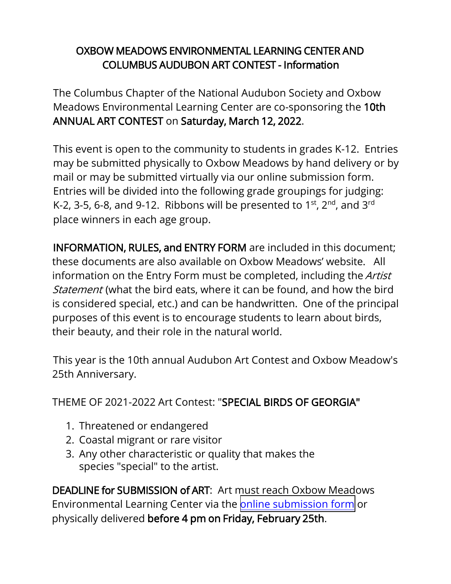# OXBOW MEADOWS ENVIRONMENTAL LEARNING CENTER AND COLUMBUS AUDUBON ART CONTEST - Information

The Columbus Chapter of the National Audubon Society and Oxbow Meadows Environmental Learning Center are co-sponsoring the 10th ANNUAL ART CONTEST on Saturday, March 12, 2022.

This event is open to the community to students in grades K-12. Entries may be submitted physically to Oxbow Meadows by hand delivery or by mail or may be submitted virtually via our online submission form. Entries will be divided into the following grade groupings for judging: K-2, 3-5, 6-8, and 9-12. Ribbons will be presented to 1st, 2 $^{\text{nd}}$ , and 3 $^{\text{rd}}$ place winners in each age group.

INFORMATION, RULES, and ENTRY FORM are included in this document; these documents are also available on Oxbow Meadows' website. All information on the Entry Form must be completed, including the *Artist* Statement (what the bird eats, where it can be found, and how the bird is considered special, etc.) and can be handwritten. One of the principal purposes of this event is to encourage students to learn about birds, their beauty, and their role in the natural world.

This year is the 10th annual Audubon Art Contest and Oxbow Meadow's 25th Anniversary.

THEME OF 2021-2022 Art Contest: "SPECIAL BIRDS OF GEORGIA"

- 1. Threatened or endangered
- 2. Coastal migrant or rare visitor
- 3. Any other characteristic or quality that makes the species "special" to the artist.

DEADLINE for SUBMISSION of ART: Art must reach Oxbow Meadows Environmental Learning Center via the [online submission](https://forms.gle/BKfK2rYBow6rbbYWA) form or physically delivered before 4 pm on Friday, February 25th.